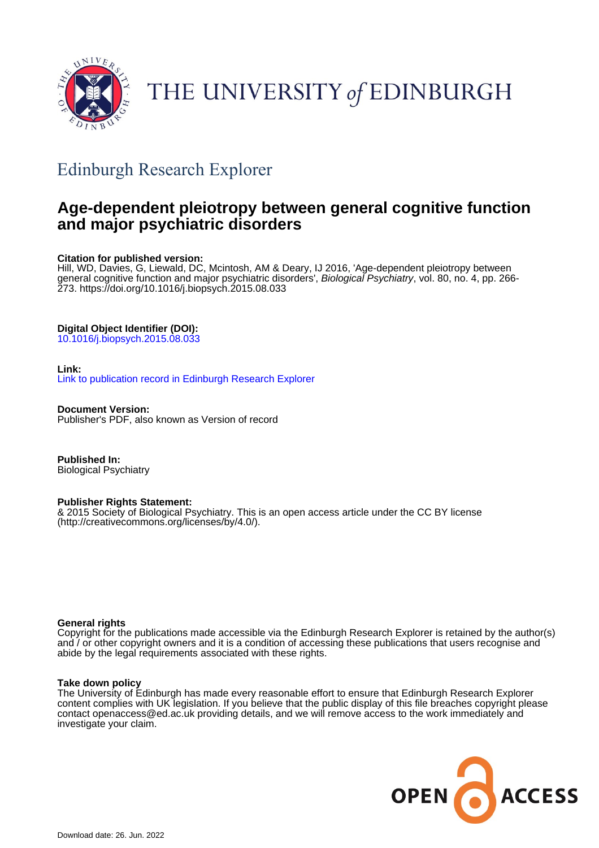

# THE UNIVERSITY of EDINBURGH

## Edinburgh Research Explorer

### **Age-dependent pleiotropy between general cognitive function and major psychiatric disorders**

#### **Citation for published version:**

Hill, WD, Davies, G, Liewald, DC, Mcintosh, AM & Deary, IJ 2016, 'Age-dependent pleiotropy between general cognitive function and major psychiatric disorders', Biological Psychiatry, vol. 80, no. 4, pp. 266-273.<https://doi.org/10.1016/j.biopsych.2015.08.033>

#### **Digital Object Identifier (DOI):**

[10.1016/j.biopsych.2015.08.033](https://doi.org/10.1016/j.biopsych.2015.08.033)

#### **Link:**

[Link to publication record in Edinburgh Research Explorer](https://www.research.ed.ac.uk/en/publications/88011d9f-85c9-4436-80b7-be1c8b6853da)

**Document Version:** Publisher's PDF, also known as Version of record

**Published In:** Biological Psychiatry

#### **Publisher Rights Statement:**

& 2015 Society of Biological Psychiatry. This is an open access article under the CC BY license (http://creativecommons.org/licenses/by/4.0/).

#### **General rights**

Copyright for the publications made accessible via the Edinburgh Research Explorer is retained by the author(s) and / or other copyright owners and it is a condition of accessing these publications that users recognise and abide by the legal requirements associated with these rights.

#### **Take down policy**

The University of Edinburgh has made every reasonable effort to ensure that Edinburgh Research Explorer content complies with UK legislation. If you believe that the public display of this file breaches copyright please contact openaccess@ed.ac.uk providing details, and we will remove access to the work immediately and investigate your claim.

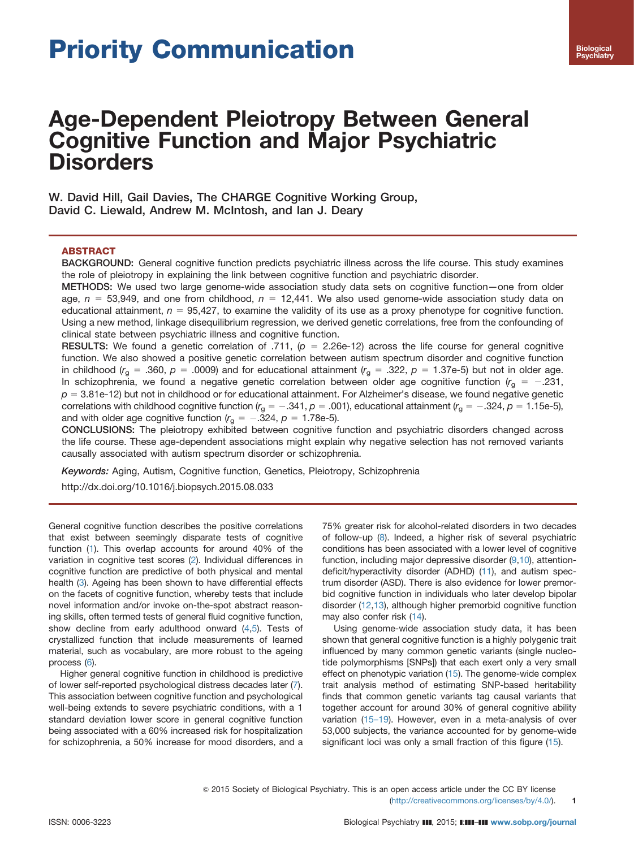# Priority Communication

### Age-Dependent Pleiotropy Between General Cognitive Function and Major Psychiatric **Disorders**

W. David Hill, Gail Davies, The CHARGE Cognitive Working Group, David C. Liewald, Andrew M. McIntosh, and Ian J. Deary

#### ABSTRACT

BACKGROUND: General cognitive function predicts psychiatric illness across the life course. This study examines the role of pleiotropy in explaining the link between cognitive function and psychiatric disorder.

METHODS: We used two large genome-wide association study data sets on cognitive function—one from older age,  $n = 53,949$ , and one from childhood,  $n = 12,441$ . We also used genome-wide association study data on educational attainment,  $n = 95,427$ , to examine the validity of its use as a proxy phenotype for cognitive function. Using a new method, linkage disequilibrium regression, we derived genetic correlations, free from the confounding of clinical state between psychiatric illness and cognitive function.

RESULTS: We found a genetic correlation of .711,  $(p = 2.26e-12)$  across the life course for general cognitive function. We also showed a positive genetic correlation between autism spectrum disorder and cognitive function in childhood ( $r_g = .360$ ,  $p = .0009$ ) and for educational attainment ( $r_g = .322$ ,  $p = 1.37e-5$ ) but not in older age. In schizophrenia, we found a negative genetic correlation between older age cognitive function  $(r<sub>g</sub> = -.231,$  $p = 3.81$ e-12) but not in childhood or for educational attainment. For Alzheimer's disease, we found negative genetic correlations with childhood cognitive function ( $r_g = -.341$ ,  $p = .001$ ), educational attainment ( $r_g = -.324$ ,  $p = 1.15e-5$ ), and with older age cognitive function ( $r_g = -.324$ ,  $p = 1.78e-5$ ).

CONCLUSIONS: The pleiotropy exhibited between cognitive function and psychiatric disorders changed across the life course. These age-dependent associations might explain why negative selection has not removed variants causally associated with autism spectrum disorder or schizophrenia.

Keywords: Aging, Autism, Cognitive function, Genetics, Pleiotropy, Schizophrenia

[http://dx.doi.org/10.1016/j.biopsych.2015.08.033](dx.doi.org/10.1016/j.biopsych.2015.08.033)

General cognitive function describes the positive correlations that exist between seemingly disparate tests of cognitive function [\(1\)](#page-7-0). This overlap accounts for around 40% of the variation in cognitive test scores [\(2\)](#page-7-0). Individual differences in cognitive function are predictive of both physical and mental health [\(3\)](#page-7-0). Ageing has been shown to have differential effects on the facets of cognitive function, whereby tests that include novel information and/or invoke on-the-spot abstract reasoning skills, often termed tests of general fluid cognitive function, show decline from early adulthood onward  $(4,5)$  $(4,5)$  $(4,5)$ . Tests of crystallized function that include measurements of learned material, such as vocabulary, are more robust to the ageing process [\(6\)](#page-7-0).

Higher general cognitive function in childhood is predictive of lower self-reported psychological distress decades later [\(7](#page-7-0)). This association between cognitive function and psychological well-being extends to severe psychiatric conditions, with a 1 standard deviation lower score in general cognitive function being associated with a 60% increased risk for hospitalization for schizophrenia, a 50% increase for mood disorders, and a

75% greater risk for alcohol-related disorders in two decades of follow-up [\(8](#page-7-0)). Indeed, a higher risk of several psychiatric conditions has been associated with a lower level of cognitive function, including major depressive disorder [\(9,10\)](#page-7-0), attentiondeficit/hyperactivity disorder (ADHD) [\(11\)](#page-7-0), and autism spectrum disorder (ASD). There is also evidence for lower premorbid cognitive function in individuals who later develop bipolar disorder [\(12,13](#page-7-0)), although higher premorbid cognitive function may also confer risk ([14](#page-7-0)).

Using genome-wide association study data, it has been shown that general cognitive function is a highly polygenic trait influenced by many common genetic variants (single nucleotide polymorphisms [SNPs]) that each exert only a very small effect on phenotypic variation [\(15\)](#page-7-0). The genome-wide complex trait analysis method of estimating SNP-based heritability finds that common genetic variants tag causal variants that together account for around 30% of general cognitive ability variation (15–[19\)](#page-7-0). However, even in a meta-analysis of over 53,000 subjects, the variance accounted for by genome-wide significant loci was only a small fraction of this figure ([15](#page-7-0)).

 $\odot$  2015 Society of Biological Psychiatry. This is an open access article under the CC BY license

<sup>(</sup>http://creativecommons.org/licenses/by/4.0/). 1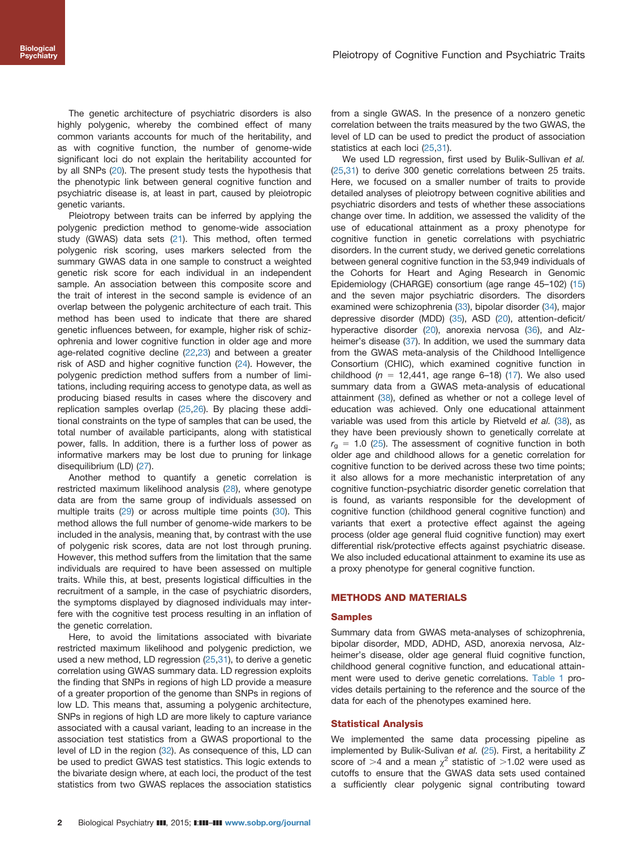The genetic architecture of psychiatric disorders is also highly polygenic, whereby the combined effect of many common variants accounts for much of the heritability, and as with cognitive function, the number of genome-wide significant loci do not explain the heritability accounted for by all SNPs [\(20\)](#page-7-0). The present study tests the hypothesis that the phenotypic link between general cognitive function and psychiatric disease is, at least in part, caused by pleiotropic genetic variants.

Pleiotropy between traits can be inferred by applying the polygenic prediction method to genome-wide association study (GWAS) data sets [\(21\)](#page-8-0). This method, often termed polygenic risk scoring, uses markers selected from the summary GWAS data in one sample to construct a weighted genetic risk score for each individual in an independent sample. An association between this composite score and the trait of interest in the second sample is evidence of an overlap between the polygenic architecture of each trait. This method has been used to indicate that there are shared genetic influences between, for example, higher risk of schizophrenia and lower cognitive function in older age and more age-related cognitive decline ([22](#page-8-0),[23](#page-8-0)) and between a greater risk of ASD and higher cognitive function [\(24\)](#page-8-0). However, the polygenic prediction method suffers from a number of limitations, including requiring access to genotype data, as well as producing biased results in cases where the discovery and replication samples overlap ([25,26\)](#page-8-0). By placing these additional constraints on the type of samples that can be used, the total number of available participants, along with statistical power, falls. In addition, there is a further loss of power as informative markers may be lost due to pruning for linkage disequilibrium (LD) [\(27\)](#page-8-0).

Another method to quantify a genetic correlation is restricted maximum likelihood analysis [\(28\)](#page-8-0), where genotype data are from the same group of individuals assessed on multiple traits [\(29](#page-8-0)) or across multiple time points ([30](#page-8-0)). This method allows the full number of genome-wide markers to be included in the analysis, meaning that, by contrast with the use of polygenic risk scores, data are not lost through pruning. However, this method suffers from the limitation that the same individuals are required to have been assessed on multiple traits. While this, at best, presents logistical difficulties in the recruitment of a sample, in the case of psychiatric disorders, the symptoms displayed by diagnosed individuals may interfere with the cognitive test process resulting in an inflation of the genetic correlation.

Here, to avoid the limitations associated with bivariate restricted maximum likelihood and polygenic prediction, we used a new method, LD regression ([25,31\)](#page-8-0), to derive a genetic correlation using GWAS summary data. LD regression exploits the finding that SNPs in regions of high LD provide a measure of a greater proportion of the genome than SNPs in regions of low LD. This means that, assuming a polygenic architecture, SNPs in regions of high LD are more likely to capture variance associated with a causal variant, leading to an increase in the association test statistics from a GWAS proportional to the level of LD in the region ([32](#page-8-0)). As consequence of this, LD can be used to predict GWAS test statistics. This logic extends to the bivariate design where, at each loci, the product of the test statistics from two GWAS replaces the association statistics from a single GWAS. In the presence of a nonzero genetic correlation between the traits measured by the two GWAS, the level of LD can be used to predict the product of association statistics at each loci [\(25,31\)](#page-8-0).

We used LD regression, first used by Bulik-Sullivan et al. ([25,31\)](#page-8-0) to derive 300 genetic correlations between 25 traits. Here, we focused on a smaller number of traits to provide detailed analyses of pleiotropy between cognitive abilities and psychiatric disorders and tests of whether these associations change over time. In addition, we assessed the validity of the use of educational attainment as a proxy phenotype for cognitive function in genetic correlations with psychiatric disorders. In the current study, we derived genetic correlations between general cognitive function in the 53,949 individuals of the Cohorts for Heart and Aging Research in Genomic Epidemiology (CHARGE) consortium (age range 45–102) [\(15\)](#page-7-0) and the seven major psychiatric disorders. The disorders examined were schizophrenia [\(33\)](#page-8-0), bipolar disorder [\(34\)](#page-8-0), major depressive disorder (MDD) [\(35](#page-8-0)), ASD [\(20\)](#page-7-0), attention-deficit/ hyperactive disorder ([20](#page-7-0)), anorexia nervosa ([36](#page-8-0)), and Alz-heimer's disease [\(37\)](#page-8-0). In addition, we used the summary data from the GWAS meta-analysis of the Childhood Intelligence Consortium (CHIC), which examined cognitive function in childhood ( $n = 12,441$ , age range 6–18) ([17](#page-7-0)). We also used summary data from a GWAS meta-analysis of educational attainment [\(38\)](#page-8-0), defined as whether or not a college level of education was achieved. Only one educational attainment variable was used from this article by Rietveld et al. ([38](#page-8-0)), as they have been previously shown to genetically correlate at  $r<sub>q</sub> = 1.0$  [\(25\)](#page-8-0). The assessment of cognitive function in both older age and childhood allows for a genetic correlation for cognitive function to be derived across these two time points; it also allows for a more mechanistic interpretation of any cognitive function-psychiatric disorder genetic correlation that is found, as variants responsible for the development of cognitive function (childhood general cognitive function) and variants that exert a protective effect against the ageing process (older age general fluid cognitive function) may exert differential risk/protective effects against psychiatric disease. We also included educational attainment to examine its use as a proxy phenotype for general cognitive function.

#### METHODS AND MATERIALS

#### Samples

Summary data from GWAS meta-analyses of schizophrenia, bipolar disorder, MDD, ADHD, ASD, anorexia nervosa, Alzheimer's disease, older age general fluid cognitive function, childhood general cognitive function, and educational attainment were used to derive genetic correlations. [Table 1](#page-3-0) provides details pertaining to the reference and the source of the data for each of the phenotypes examined here.

#### Statistical Analysis

We implemented the same data processing pipeline as implemented by Bulik-Sulivan et al. ([25\)](#page-8-0). First, a heritability Z score of  $>4$  and a mean  $\chi^2$  statistic of  $>1.02$  were used as cutoffs to ensure that the GWAS data sets used contained a sufficiently clear polygenic signal contributing toward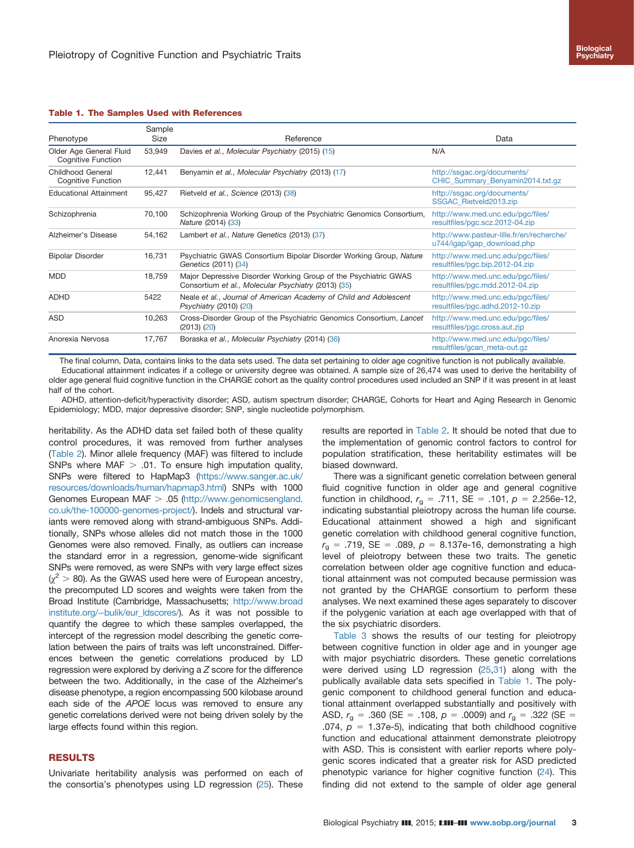|  | <b>Biological</b> |
|--|-------------------|
|  | <b>Psychiatry</b> |

#### <span id="page-3-0"></span>Table 1. The Samples Used with References

|                                                      | Sample      |                                                                                                                        |                                                                          |  |  |  |
|------------------------------------------------------|-------------|------------------------------------------------------------------------------------------------------------------------|--------------------------------------------------------------------------|--|--|--|
| Phenotype                                            | <b>Size</b> | Reference                                                                                                              | Data                                                                     |  |  |  |
| Older Age General Fluid<br><b>Cognitive Function</b> | 53,949      | Davies et al., Molecular Psychiatry (2015) (15)                                                                        | N/A                                                                      |  |  |  |
| Childhood General<br><b>Cognitive Function</b>       | 12,441      | Benyamin et al., Molecular Psychiatry (2013) (17)                                                                      | http://ssgac.org/documents/<br>CHIC Summary Benyamin2014.txt.gz          |  |  |  |
| <b>Educational Attainment</b>                        | 95,427      | Rietveld et al., Science (2013) (38)                                                                                   | http://ssgac.org/documents/<br>SSGAC Rietveld2013.zip                    |  |  |  |
| Schizophrenia                                        | 70,100      | Schizophrenia Working Group of the Psychiatric Genomics Consortium,<br>Nature (2014) (33)                              | http://www.med.unc.edu/pgc/files/<br>resultfiles/pgc.scz.2012-04.zip     |  |  |  |
| Alzheimer's Disease                                  | 54,162      | Lambert et al., Nature Genetics (2013) (37)                                                                            | http://www.pasteur-lille.fr/en/recherche/<br>u744/igap/igap_download.php |  |  |  |
| <b>Bipolar Disorder</b>                              | 16,731      | Psychiatric GWAS Consortium Bipolar Disorder Working Group, Nature<br>Genetics (2011) (34)                             | http://www.med.unc.edu/pgc/files/<br>resultfiles/pgc.bip.2012-04.zip     |  |  |  |
| <b>MDD</b>                                           | 18,759      | Major Depressive Disorder Working Group of the Psychiatric GWAS<br>Consortium et al., Molecular Psychiatry (2013) (35) | http://www.med.unc.edu/pgc/files/<br>resultfiles/pgc.mdd.2012-04.zip     |  |  |  |
| <b>ADHD</b>                                          | 5422        | Neale et al., Journal of American Academy of Child and Adolescent<br>Psychiatry (2010) (20)                            | http://www.med.unc.edu/pgc/files/<br>resultfiles/pgc.adhd.2012-10.zip    |  |  |  |
| ASD                                                  | 10,263      | Cross-Disorder Group of the Psychiatric Genomics Consortium, Lancet<br>$(2013)$ $(20)$                                 | http://www.med.unc.edu/pgc/files/<br>resultfiles/pgc.cross.aut.zip       |  |  |  |
| Anorexia Nervosa                                     | 17,767      | Boraska et al., Molecular Psychiatry (2014) (36)                                                                       | http://www.med.unc.edu/pqc/files/<br>resultfiles/gcan_meta-out.gz        |  |  |  |

The final column, Data, contains links to the data sets used. The data set pertaining to older age cognitive function is not publically available. Educational attainment indicates if a college or university degree was obtained. A sample size of 26,474 was used to derive the heritability of

older age general fluid cognitive function in the CHARGE cohort as the quality control procedures used included an SNP if it was present in at least half of the cohort.

ADHD, attention-deficit/hyperactivity disorder; ASD, autism spectrum disorder; CHARGE, Cohorts for Heart and Aging Research in Genomic Epidemiology; MDD, major depressive disorder; SNP, single nucleotide polymorphism.

heritability. As the ADHD data set failed both of these quality control procedures, it was removed from further analyses [\(Table 2\)](#page-4-0). Minor allele frequency (MAF) was filtered to include SNPs where  $MAF > .01$ . To ensure high imputation quality, SNPs were filtered to HapMap3 [\(https://www.sanger.ac.uk/](https://www.sanger.ac.uk/resources/downloads/human/hapmap3.html) [resources/downloads/human/hapmap3.html\)](https://www.sanger.ac.uk/resources/downloads/human/hapmap3.html) SNPs with 1000 Genomes European MAF  $> .05$  ([http://www.genomicsengland.](http://www.genomicsengland.co.uk/the-100000-genomes-project/) [co.uk/the-100000-genomes-project/\)](http://www.genomicsengland.co.uk/the-100000-genomes-project/). Indels and structural variants were removed along with strand-ambiguous SNPs. Additionally, SNPs whose alleles did not match those in the 1000 Genomes were also removed. Finally, as outliers can increase the standard error in a regression, genome-wide significant SNPs were removed, as were SNPs with very large effect sizes  $(\chi^2 > 80)$ . As the GWAS used here were of European ancestry, the precomputed LD scores and weights were taken from the Broad Institute (Cambridge, Massachusetts; [http://www.broad](http://www.broadinstitute.org/=bulik/eur_ldscores/) institute.org/∽[bulik/eur\\_ldscores/](http://www.broadinstitute.org/=bulik/eur_ldscores/)). As it was not possible to quantify the degree to which these samples overlapped, the intercept of the regression model describing the genetic correlation between the pairs of traits was left unconstrained. Differences between the genetic correlations produced by LD regression were explored by deriving  $a \, Z$  score for the difference between the two. Additionally, in the case of the Alzheimer's disease phenotype, a region encompassing 500 kilobase around each side of the APOE locus was removed to ensure any genetic correlations derived were not being driven solely by the large effects found within this region.

#### RESULTS

Univariate heritability analysis was performed on each of the consortia's phenotypes using LD regression ([25](#page-8-0)). These

results are reported in [Table 2](#page-4-0). It should be noted that due to the implementation of genomic control factors to control for population stratification, these heritability estimates will be biased downward.

There was a significant genetic correlation between general fluid cognitive function in older age and general cognitive function in childhood,  $r_{q} = .711$ , SE = .101,  $p = 2.256e-12$ , indicating substantial pleiotropy across the human life course. Educational attainment showed a high and significant genetic correlation with childhood general cognitive function,  $r_{\rm g}$  = .719, SE = .089,  $p = 8.137e-16$ , demonstrating a high level of pleiotropy between these two traits. The genetic correlation between older age cognitive function and educational attainment was not computed because permission was not granted by the CHARGE consortium to perform these analyses. We next examined these ages separately to discover if the polygenic variation at each age overlapped with that of the six psychiatric disorders.

[Table 3](#page-4-0) shows the results of our testing for pleiotropy between cognitive function in older age and in younger age with major psychiatric disorders. These genetic correlations were derived using LD regression ([25,31\)](#page-8-0) along with the publically available data sets specified in Table 1. The polygenic component to childhood general function and educational attainment overlapped substantially and positively with ASD,  $r_{\rm q}$  = .360 (SE = .108,  $p = .0009$ ) and  $r_{\rm q} = .322$  (SE = .074,  $p = 1.37e-5$ , indicating that both childhood cognitive function and educational attainment demonstrate pleiotropy with ASD. This is consistent with earlier reports where polygenic scores indicated that a greater risk for ASD predicted phenotypic variance for higher cognitive function [\(24](#page-8-0)). This finding did not extend to the sample of older age general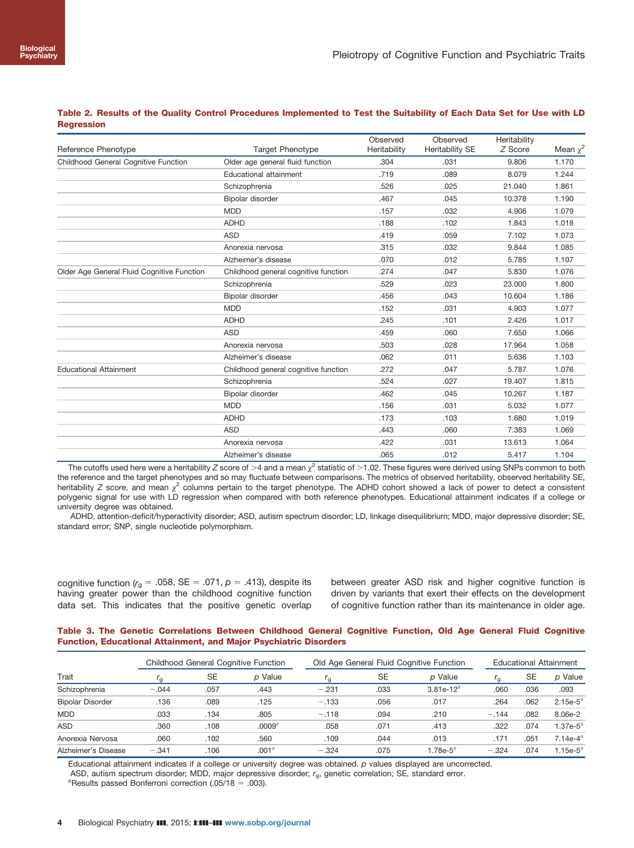|                                            |                                      | Observed     | Observed        | Heritability |               |
|--------------------------------------------|--------------------------------------|--------------|-----------------|--------------|---------------|
| Reference Phenotype                        | <b>Target Phenotype</b>              | Heritability | Heritability SE | Z Score      | Mean $\chi^2$ |
| Childhood General Cognitive Function       | Older age general fluid function     | .304         | .031            | 9.806        | 1.170         |
|                                            | <b>Educational attainment</b>        | .719         | .089            | 8.079        | 1.244         |
|                                            | Schizophrenia                        | .526         | .025            | 21.040       | 1.861         |
|                                            | Bipolar disorder                     | .467         | .045            | 10.378       | 1.190         |
|                                            | <b>MDD</b>                           | .157         | .032            | 4.906        | 1.079         |
|                                            | <b>ADHD</b>                          | .188         | .102            | 1.843        | 1.018         |
|                                            | <b>ASD</b>                           | .419         | .059            | 7.102        | 1.073         |
|                                            | Anorexia nervosa                     | .315         | .032            | 9.844        | 1.085         |
|                                            | Alzheimer's disease                  | .070         | .012            | 5.785        | 1.107         |
| Older Age General Fluid Cognitive Function | Childhood general cognitive function | .274         | .047            | 5.830        | 1.076         |
|                                            | Schizophrenia                        | .529         | .023            | 23.000       | 1.800         |
|                                            | Bipolar disorder                     | .456         | .043            | 10.604       | 1.186         |
|                                            | <b>MDD</b>                           | .152         | .031            | 4.903        | 1.077         |
|                                            | <b>ADHD</b>                          | .245         | .101            | 2.426        | 1.017         |
|                                            | <b>ASD</b>                           | .459         | .060            | 7.650        | 1.066         |
|                                            | Anorexia nervosa                     | .503         | .028            | 17.964       | 1.058         |
|                                            | Alzheimer's disease                  | .062         | .011            | 5.636        | 1.103         |
| <b>Educational Attainment</b>              | Childhood general cognitive function | .272         | .047            | 5.787        | 1.076         |
|                                            | Schizophrenia                        | .524         | .027            | 19.407       | 1.815         |
|                                            | Bipolar disorder                     | .462         | .045            | 10.267       | 1.187         |
|                                            | <b>MDD</b>                           | .156         | .031            | 5.032        | 1.077         |
|                                            | <b>ADHD</b>                          | .173         | .103            | 1.680        | 1.019         |
|                                            | <b>ASD</b>                           | .443         | .060            | 7.383        | 1.069         |
|                                            | Anorexia nervosa                     | .422         | .031            | 13.613       | 1.064         |
|                                            | Alzheimer's disease                  | .065         | .012            | 5.417        | 1.104         |

<span id="page-4-0"></span>Table 2. Results of the Quality Control Procedures Implemented to Test the Suitability of Each Data Set for Use with LD **Regression** 

The cutoffs used here were a heritability Z score of >4 and a mean  $\chi^2$  statistic of >1.02. These figures were derived using SNPs common to both the reference and the target phenotypes and so may fluctuate between comparisons. The metrics of observed heritability, observed heritability SE, heritability Z score, and mean  $\chi^2$  columns pertain to the target phenotype. The ADHD cohort showed a lack of power to detect a consistent polygenic signal for use with LD regression when compared with both reference phenotypes. Educational attainment indicates if a college or university degree was obtained.

ADHD, attention-deficit/hyperactivity disorder; ASD, autism spectrum disorder; LD, linkage disequilibrium; MDD, major depressive disorder; SE, standard error; SNP, single nucleotide polymorphism.

cognitive function ( $r_g = .058$ , SE = .071, p = .413), despite its having greater power than the childhood cognitive function data set. This indicates that the positive genetic overlap

between greater ASD risk and higher cognitive function is driven by variants that exert their effects on the development of cognitive function rather than its maintenance in older age.

|  | Table 3. The Genetic Correlations Between Childhood General Cognitive Function, Old Age General Fluid Cognitive |  |  |  |  |  |
|--|-----------------------------------------------------------------------------------------------------------------|--|--|--|--|--|
|  | <b>Function, Educational Attainment, and Major Psychiatric Disorders</b>                                        |  |  |  |  |  |

| Trait                   | <b>Childhood General Cognitive Function</b> |           |                    | Old Age General Fluid Cognitive Function |      |              | <b>Educational Attainment</b> |      |                      |
|-------------------------|---------------------------------------------|-----------|--------------------|------------------------------------------|------|--------------|-------------------------------|------|----------------------|
|                         | ה י                                         | <b>SE</b> | p Value            | ' a                                      | SE   | p Value      | $^{\prime}$ a                 | SE   | p Value              |
| Schizophrenia           | $-.044$                                     | .057      | .443               | $-.231$                                  | .033 | $3.81e-12^a$ | .060                          | .036 | .093                 |
| <b>Bipolar Disorder</b> | .136                                        | .089      | .125               | $-.133$                                  | .056 | .017         | .264                          | .062 | $2.15e-5^a$          |
| <b>MDD</b>              | .033                                        | .134      | .805               | $-.118$                                  | .094 | .210         | $-.144$                       | .082 | 8.06e-2              |
| <b>ASD</b>              | .360                                        | .108      | .0009 <sup>a</sup> | .058                                     | .071 | .413         | .322                          | .074 | 1.37e- $5^a$         |
| Anorexia Nervosa        | .060                                        | .102      | .560               | .109                                     | .044 | .013         | .171                          | .051 | 7.14e-4 <sup>a</sup> |
| Alzheimer's Disease     | $-.341$                                     | .106      | .001 <sup>a</sup>  | $-.324$                                  | .075 | 1.78e- $5^a$ | $-.324$                       | .074 | 1.15e- $5^a$         |

Educational attainment indicates if a college or university degree was obtained. p values displayed are uncorrected.

ASD, autism spectrum disorder; MDD, major depressive disorder; r<sub>g</sub>, genetic correlation; SE, standard error.

<sup>a</sup>Results passed Bonferroni correction (.05/18 = .003).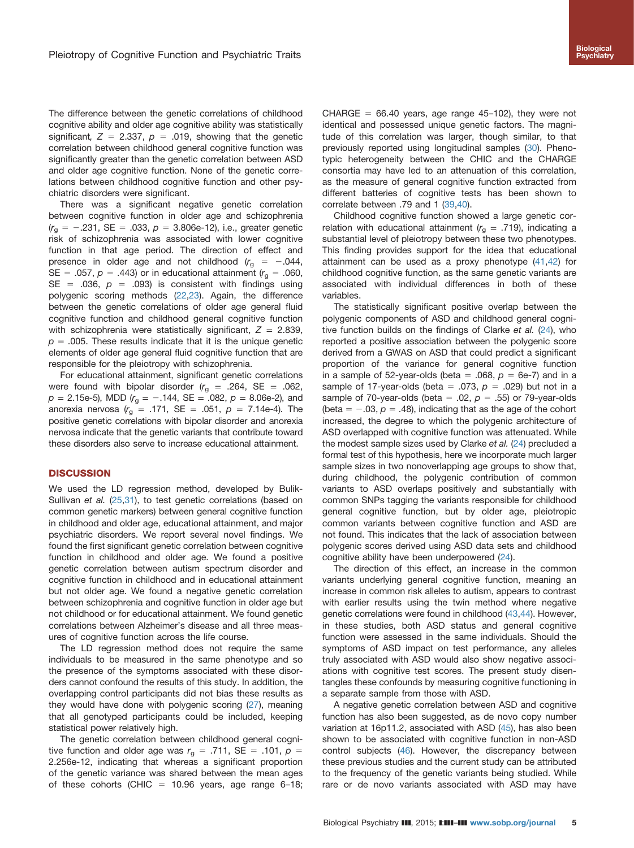The difference between the genetic correlations of childhood cognitive ability and older age cognitive ability was statistically significant,  $Z = 2.337$ ,  $p = .019$ , showing that the genetic correlation between childhood general cognitive function was significantly greater than the genetic correlation between ASD and older age cognitive function. None of the genetic correlations between childhood cognitive function and other psychiatric disorders were significant.

There was a significant negative genetic correlation between cognitive function in older age and schizophrenia  $(r<sub>g</sub> = -.231, SE = .033, p = 3.806e-12)$ , i.e., greater genetic risk of schizophrenia was associated with lower cognitive function in that age period. The direction of effect and presence in older age and not childhood  $(r_{\alpha} = -0.044,$ SE = .057,  $p = .443$ ) or in educational attainment ( $r<sub>a</sub> = .060$ , SE = .036,  $p = .093$ ) is consistent with findings using polygenic scoring methods ([22,23\)](#page-8-0). Again, the difference between the genetic correlations of older age general fluid cognitive function and childhood general cognitive function with schizophrenia were statistically significant,  $Z = 2.839$ ,  $p = 0.005$ . These results indicate that it is the unique genetic elements of older age general fluid cognitive function that are responsible for the pleiotropy with schizophrenia.

For educational attainment, significant genetic correlations were found with bipolar disorder  $(r<sub>g</sub> = .264, SE = .062,$  $p = 2.15e-5$ , MDD  $(r<sub>g</sub> = -.144, SE = .082, p = 8.06e-2)$ , and anorexia nervosa  $(r_{\rm g} = .171, \text{ SE} = .051, p = 7.14\text{e-}4)$ . The positive genetic correlations with bipolar disorder and anorexia nervosa indicate that the genetic variants that contribute toward these disorders also serve to increase educational attainment.

#### **DISCUSSION**

We used the LD regression method, developed by Bulik-Sullivan et al. [\(25,31](#page-8-0)), to test genetic correlations (based on common genetic markers) between general cognitive function in childhood and older age, educational attainment, and major psychiatric disorders. We report several novel findings. We found the first significant genetic correlation between cognitive function in childhood and older age. We found a positive genetic correlation between autism spectrum disorder and cognitive function in childhood and in educational attainment but not older age. We found a negative genetic correlation between schizophrenia and cognitive function in older age but not childhood or for educational attainment. We found genetic correlations between Alzheimer's disease and all three measures of cognitive function across the life course.

The LD regression method does not require the same individuals to be measured in the same phenotype and so the presence of the symptoms associated with these disorders cannot confound the results of this study. In addition, the overlapping control participants did not bias these results as they would have done with polygenic scoring ([27\)](#page-8-0), meaning that all genotyped participants could be included, keeping statistical power relatively high.

The genetic correlation between childhood general cognitive function and older age was  $r_{\text{q}} = .711$ , SE = .101,  $p =$ 2.256e-12, indicating that whereas a significant proportion of the genetic variance was shared between the mean ages of these cohorts (CHIC = 10.96 years, age range 6–18; CHARGE =  $66.40$  years, age range 45-102), they were not identical and possessed unique genetic factors. The magnitude of this correlation was larger, though similar, to that previously reported using longitudinal samples [\(30\)](#page-8-0). Phenotypic heterogeneity between the CHIC and the CHARGE consortia may have led to an attenuation of this correlation, as the measure of general cognitive function extracted from different batteries of cognitive tests has been shown to correlate between .79 and 1 [\(39,40](#page-8-0)).

Childhood cognitive function showed a large genetic correlation with educational attainment ( $r<sub>g</sub> = .719$ ), indicating a substantial level of pleiotropy between these two phenotypes. This finding provides support for the idea that educational attainment can be used as a proxy phenotype ([41](#page-8-0),[42\)](#page-8-0) for childhood cognitive function, as the same genetic variants are associated with individual differences in both of these variables.

The statistically significant positive overlap between the polygenic components of ASD and childhood general cogni-tive function builds on the findings of Clarke et al. ([24](#page-8-0)), who reported a positive association between the polygenic score derived from a GWAS on ASD that could predict a significant proportion of the variance for general cognitive function in a sample of 52-year-olds (beta = .068,  $p = 6e-7$ ) and in a sample of 17-year-olds (beta = .073,  $p = .029$ ) but not in a sample of 70-year-olds (beta = .02,  $p = .55$ ) or 79-year-olds (beta =  $-0.03$ ,  $p = 0.48$ ), indicating that as the age of the cohort increased, the degree to which the polygenic architecture of ASD overlapped with cognitive function was attenuated. While the modest sample sizes used by Clarke et al. ([24](#page-8-0)) precluded a formal test of this hypothesis, here we incorporate much larger sample sizes in two nonoverlapping age groups to show that, during childhood, the polygenic contribution of common variants to ASD overlaps positively and substantially with common SNPs tagging the variants responsible for childhood general cognitive function, but by older age, pleiotropic common variants between cognitive function and ASD are not found. This indicates that the lack of association between polygenic scores derived using ASD data sets and childhood cognitive ability have been underpowered ([24](#page-8-0)).

The direction of this effect, an increase in the common variants underlying general cognitive function, meaning an increase in common risk alleles to autism, appears to contrast with earlier results using the twin method where negative genetic correlations were found in childhood ([43,44\)](#page-8-0). However, in these studies, both ASD status and general cognitive function were assessed in the same individuals. Should the symptoms of ASD impact on test performance, any alleles truly associated with ASD would also show negative associations with cognitive test scores. The present study disentangles these confounds by measuring cognitive functioning in a separate sample from those with ASD.

A negative genetic correlation between ASD and cognitive function has also been suggested, as de novo copy number variation at 16p11.2, associated with ASD [\(45](#page-8-0)), has also been shown to be associated with cognitive function in non-ASD control subjects [\(46\)](#page-8-0). However, the discrepancy between these previous studies and the current study can be attributed to the frequency of the genetic variants being studied. While rare or de novo variants associated with ASD may have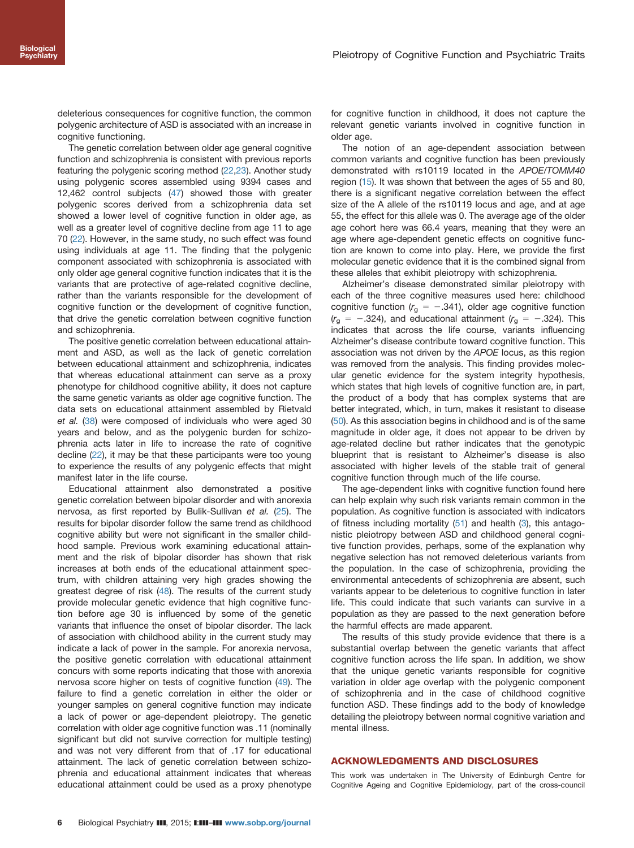deleterious consequences for cognitive function, the common polygenic architecture of ASD is associated with an increase in cognitive functioning.

The genetic correlation between older age general cognitive function and schizophrenia is consistent with previous reports featuring the polygenic scoring method [\(22,23](#page-8-0)). Another study using polygenic scores assembled using 9394 cases and 12,462 control subjects ([47](#page-8-0)) showed those with greater polygenic scores derived from a schizophrenia data set showed a lower level of cognitive function in older age, as well as a greater level of cognitive decline from age 11 to age 70 ([22](#page-8-0)). However, in the same study, no such effect was found using individuals at age 11. The finding that the polygenic component associated with schizophrenia is associated with only older age general cognitive function indicates that it is the variants that are protective of age-related cognitive decline, rather than the variants responsible for the development of cognitive function or the development of cognitive function, that drive the genetic correlation between cognitive function and schizophrenia.

The positive genetic correlation between educational attainment and ASD, as well as the lack of genetic correlation between educational attainment and schizophrenia, indicates that whereas educational attainment can serve as a proxy phenotype for childhood cognitive ability, it does not capture the same genetic variants as older age cognitive function. The data sets on educational attainment assembled by Rietvald et al. [\(38\)](#page-8-0) were composed of individuals who were aged 30 years and below, and as the polygenic burden for schizophrenia acts later in life to increase the rate of cognitive decline ([22](#page-8-0)), it may be that these participants were too young to experience the results of any polygenic effects that might manifest later in the life course.

Educational attainment also demonstrated a positive genetic correlation between bipolar disorder and with anorexia nervosa, as first reported by Bulik-Sullivan et al. ([25](#page-8-0)). The results for bipolar disorder follow the same trend as childhood cognitive ability but were not significant in the smaller childhood sample. Previous work examining educational attainment and the risk of bipolar disorder has shown that risk increases at both ends of the educational attainment spectrum, with children attaining very high grades showing the greatest degree of risk ([48](#page-8-0)). The results of the current study provide molecular genetic evidence that high cognitive function before age 30 is influenced by some of the genetic variants that influence the onset of bipolar disorder. The lack of association with childhood ability in the current study may indicate a lack of power in the sample. For anorexia nervosa, the positive genetic correlation with educational attainment concurs with some reports indicating that those with anorexia nervosa score higher on tests of cognitive function [\(49\)](#page-8-0). The failure to find a genetic correlation in either the older or younger samples on general cognitive function may indicate a lack of power or age-dependent pleiotropy. The genetic correlation with older age cognitive function was .11 (nominally significant but did not survive correction for multiple testing) and was not very different from that of .17 for educational attainment. The lack of genetic correlation between schizophrenia and educational attainment indicates that whereas educational attainment could be used as a proxy phenotype for cognitive function in childhood, it does not capture the relevant genetic variants involved in cognitive function in older age.

The notion of an age-dependent association between common variants and cognitive function has been previously demonstrated with rs10119 located in the APOE/TOMM40 region ([15](#page-7-0)). It was shown that between the ages of 55 and 80, there is a significant negative correlation between the effect size of the A allele of the rs10119 locus and age, and at age 55, the effect for this allele was 0. The average age of the older age cohort here was 66.4 years, meaning that they were an age where age-dependent genetic effects on cognitive function are known to come into play. Here, we provide the first molecular genetic evidence that it is the combined signal from these alleles that exhibit pleiotropy with schizophrenia.

Alzheimer's disease demonstrated similar pleiotropy with each of the three cognitive measures used here: childhood cognitive function ( $r_a = -0.341$ ), older age cognitive function  $(r_{\rm g} = -.324)$ , and educational attainment  $(r_{\rm g} = -.324)$ . This indicates that across the life course, variants influencing Alzheimer's disease contribute toward cognitive function. This association was not driven by the APOE locus, as this region was removed from the analysis. This finding provides molecular genetic evidence for the system integrity hypothesis, which states that high levels of cognitive function are, in part, the product of a body that has complex systems that are better integrated, which, in turn, makes it resistant to disease ([50](#page-8-0)). As this association begins in childhood and is of the same magnitude in older age, it does not appear to be driven by age-related decline but rather indicates that the genotypic blueprint that is resistant to Alzheimer's disease is also associated with higher levels of the stable trait of general cognitive function through much of the life course.

The age-dependent links with cognitive function found here can help explain why such risk variants remain common in the population. As cognitive function is associated with indicators of fitness including mortality [\(51](#page-8-0)) and health [\(3\)](#page-7-0), this antagonistic pleiotropy between ASD and childhood general cognitive function provides, perhaps, some of the explanation why negative selection has not removed deleterious variants from the population. In the case of schizophrenia, providing the environmental antecedents of schizophrenia are absent, such variants appear to be deleterious to cognitive function in later life. This could indicate that such variants can survive in a population as they are passed to the next generation before the harmful effects are made apparent.

The results of this study provide evidence that there is a substantial overlap between the genetic variants that affect cognitive function across the life span. In addition, we show that the unique genetic variants responsible for cognitive variation in older age overlap with the polygenic component of schizophrenia and in the case of childhood cognitive function ASD. These findings add to the body of knowledge detailing the pleiotropy between normal cognitive variation and mental illness.

#### ACKNOWLEDGMENTS AND DISCLOSURES

This work was undertaken in The University of Edinburgh Centre for Cognitive Ageing and Cognitive Epidemiology, part of the cross-council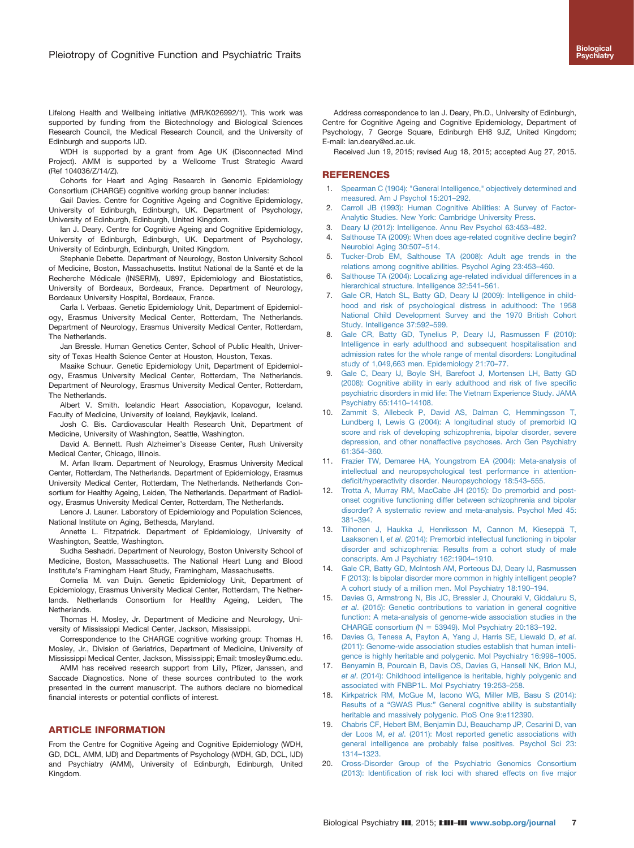<span id="page-7-0"></span>Lifelong Health and Wellbeing initiative (MR/K026992/1). This work was supported by funding from the Biotechnology and Biological Sciences Research Council, the Medical Research Council, and the University of Edinburgh and supports IJD.

WDH is supported by a grant from Age UK (Disconnected Mind Project). AMM is supported by a Wellcome Trust Strategic Award (Ref 104036/Z/14/Z).

Cohorts for Heart and Aging Research in Genomic Epidemiology Consortium (CHARGE) cognitive working group banner includes:

Gail Davies. Centre for Cognitive Ageing and Cognitive Epidemiology, University of Edinburgh, Edinburgh, UK. Department of Psychology, University of Edinburgh, Edinburgh, United Kingdom.

Ian J. Deary. Centre for Cognitive Ageing and Cognitive Epidemiology, University of Edinburgh, Edinburgh, UK. Department of Psychology, University of Edinburgh, Edinburgh, United Kingdom.

Stephanie Debette. Department of Neurology, Boston University School of Medicine, Boston, Massachusetts. Institut National de la Santé et de la Recherche Médicale (INSERM), U897, Epidemiology and Biostatistics, University of Bordeaux, Bordeaux, France. Department of Neurology, Bordeaux University Hospital, Bordeaux, France.

Carla I. Verbaas. Genetic Epidemiology Unit, Department of Epidemiology, Erasmus University Medical Center, Rotterdam, The Netherlands. Department of Neurology, Erasmus University Medical Center, Rotterdam, The Netherlands.

Jan Bressle. Human Genetics Center, School of Public Health, University of Texas Health Science Center at Houston, Houston, Texas.

Maaike Schuur. Genetic Epidemiology Unit, Department of Epidemiology, Erasmus University Medical Center, Rotterdam, The Netherlands. Department of Neurology, Erasmus University Medical Center, Rotterdam, The Netherlands.

Albert V. Smith. Icelandic Heart Association, Kopavogur, Iceland. Faculty of Medicine, University of Iceland, Reykjavik, Iceland.

Josh C. Bis. Cardiovascular Health Research Unit, Department of Medicine, University of Washington, Seattle, Washington.

David A. Bennett. Rush Alzheimer's Disease Center, Rush University Medical Center, Chicago, Illinois.

M. Arfan Ikram. Department of Neurology, Erasmus University Medical Center, Rotterdam, The Netherlands. Department of Epidemiology, Erasmus University Medical Center, Rotterdam, The Netherlands. Netherlands Consortium for Healthy Ageing, Leiden, The Netherlands. Department of Radiology, Erasmus University Medical Center, Rotterdam, The Netherlands.

Lenore J. Launer. Laboratory of Epidemiology and Population Sciences, National Institute on Aging, Bethesda, Maryland.

Annette L. Fitzpatrick. Department of Epidemiology, University of Washington, Seattle, Washington.

Sudha Seshadri. Department of Neurology, Boston University School of Medicine, Boston, Massachusetts. The National Heart Lung and Blood Institute's Framingham Heart Study, Framingham, Massachusetts.

Cornelia M. van Duijn. Genetic Epidemiology Unit, Department of Epidemiology, Erasmus University Medical Center, Rotterdam, The Netherlands. Netherlands Consortium for Healthy Ageing, Leiden, The Netherlands.

Thomas H. Mosley, Jr. Department of Medicine and Neurology, University of Mississippi Medical Center, Jackson, Mississippi.

Correspondence to the CHARGE cognitive working group: Thomas H. Mosley, Jr., Division of Geriatrics, Department of Medicine, University of Mississippi Medical Center, Jackson, Mississippi; Email: tmosley@umc.edu.

AMM has received research support from Lilly, Pfizer, Janssen, and Saccade Diagnostics. None of these sources contributed to the work presented in the current manuscript. The authors declare no biomedical financial interests or potential conflicts of interest.

#### ARTICLE INFORMATION

From the Centre for Cognitive Ageing and Cognitive Epidemiology (WDH, GD, DCL, AMM, IJD) and Departments of Psychology (WDH, GD, DCL, IJD) and Psychiatry (AMM), University of Edinburgh, Edinburgh, United Kingdom.

Address correspondence to Ian J. Deary, Ph.D., University of Edinburgh, Centre for Cognitive Ageing and Cognitive Epidemiology, Department of Psychology, 7 George Square, Edinburgh EH8 9JZ, United Kingdom; E-mail: ian.deary@ed.ac.uk.

Received Jun 19, 2015; revised Aug 18, 2015; accepted Aug 27, 2015.

#### REFERENCES

- 1. [Spearman C \(1904\): "General Intelligence," objectively determined and](http://refhub.elsevier.com/S0006-3223(15)00732-5/sbref1) [measured. Am J Psychol 15:201](http://refhub.elsevier.com/S0006-3223(15)00732-5/sbref1)–292.
- [Carroll JB \(1993\): Human Cognitive Abilities: A Survey of Factor-](http://refhub.elsevier.com/S0006-3223(15)00732-5/sbref2)[Analytic Studies. New York: Cambridge University Press.](http://refhub.elsevier.com/S0006-3223(15)00732-5/sbref2)
- 3. [Deary IJ \(2012\): Intelligence. Annu Rev Psychol 63:453](http://refhub.elsevier.com/S0006-3223(15)00732-5/sbref3)–482.
- [Salthouse TA \(2009\): When does age-related cognitive decline begin?](http://refhub.elsevier.com/S0006-3223(15)00732-5/sbref4) [Neurobiol Aging 30:507](http://refhub.elsevier.com/S0006-3223(15)00732-5/sbref4)–514.
- 5. [Tucker-Drob EM, Salthouse TA \(2008\): Adult age trends in the](http://refhub.elsevier.com/S0006-3223(15)00732-5/sbref5) [relations among cognitive abilities. Psychol Aging 23:453](http://refhub.elsevier.com/S0006-3223(15)00732-5/sbref5)–460.
- [Salthouse TA \(2004\): Localizing age-related individual differences in a](http://refhub.elsevier.com/S0006-3223(15)00732-5/sbref6) [hierarchical structure. Intelligence 32:541](http://refhub.elsevier.com/S0006-3223(15)00732-5/sbref6)–561.
- 7. [Gale CR, Hatch SL, Batty GD, Deary IJ \(2009\): Intelligence in child](http://refhub.elsevier.com/S0006-3223(15)00732-5/sbref7)[hood and risk of psychological distress in adulthood: The 1958](http://refhub.elsevier.com/S0006-3223(15)00732-5/sbref7) [National Child Development Survey and the 1970 British Cohort](http://refhub.elsevier.com/S0006-3223(15)00732-5/sbref7) [Study. Intelligence 37:592](http://refhub.elsevier.com/S0006-3223(15)00732-5/sbref7)–599.
- 8. [Gale CR, Batty GD, Tynelius P, Deary IJ, Rasmussen F \(2010\):](http://refhub.elsevier.com/S0006-3223(15)00732-5/sbref8) [Intelligence in early adulthood and subsequent hospitalisation and](http://refhub.elsevier.com/S0006-3223(15)00732-5/sbref8) [admission rates for the whole range of mental disorders: Longitudinal](http://refhub.elsevier.com/S0006-3223(15)00732-5/sbref8) [study of 1,049,663 men. Epidemiology 21:70](http://refhub.elsevier.com/S0006-3223(15)00732-5/sbref8)–77.
- 9. [Gale C, Deary IJ, Boyle SH, Barefoot J, Mortensen LH, Batty GD](http://refhub.elsevier.com/S0006-3223(15)00732-5/sbref9) [\(2008\): Cognitive ability in early adulthood and risk of](http://refhub.elsevier.com/S0006-3223(15)00732-5/sbref9) five specific [psychiatric disorders in mid life: The Vietnam Experience Study. JAMA](http://refhub.elsevier.com/S0006-3223(15)00732-5/sbref9) [Psychiatry 65:1410](http://refhub.elsevier.com/S0006-3223(15)00732-5/sbref9)–14108.
- [Zammit S, Allebeck P, David AS, Dalman C, Hemmingsson T,](http://refhub.elsevier.com/S0006-3223(15)00732-5/sbref10) [Lundberg I, Lewis G \(2004\): A longitudinal study of premorbid IQ](http://refhub.elsevier.com/S0006-3223(15)00732-5/sbref10) [score and risk of developing schizophrenia, bipolar disorder, severe](http://refhub.elsevier.com/S0006-3223(15)00732-5/sbref10) [depression, and other nonaffective psychoses. Arch Gen Psychiatry](http://refhub.elsevier.com/S0006-3223(15)00732-5/sbref10) [61:354](http://refhub.elsevier.com/S0006-3223(15)00732-5/sbref10)–360.
- 11. [Frazier TW, Demaree HA, Youngstrom EA \(2004\): Meta-analysis of](http://refhub.elsevier.com/S0006-3223(15)00732-5/sbref11) [intellectual and neuropsychological test performance in attention](http://refhub.elsevier.com/S0006-3223(15)00732-5/sbref11)defi[cit/hyperactivity disorder. Neuropsychology 18:543](http://refhub.elsevier.com/S0006-3223(15)00732-5/sbref11)–555.
- 12. [Trotta A, Murray RM, MacCabe JH \(2015\): Do premorbid and post](http://refhub.elsevier.com/S0006-3223(15)00732-5/sbref12)[onset cognitive functioning differ between schizophrenia and bipolar](http://refhub.elsevier.com/S0006-3223(15)00732-5/sbref12) [disorder? A systematic review and meta-analysis. Psychol Med 45:](http://refhub.elsevier.com/S0006-3223(15)00732-5/sbref12) 381–[394.](http://refhub.elsevier.com/S0006-3223(15)00732-5/sbref12)
- 13. [Tiihonen J, Haukka J, Henriksson M, Cannon M, Kieseppä T,](http://refhub.elsevier.com/S0006-3223(15)00732-5/sbref13) Laaksonen I, et al[. \(2014\): Premorbid intellectual functioning in bipolar](http://refhub.elsevier.com/S0006-3223(15)00732-5/sbref13) [disorder and schizophrenia: Results from a cohort study of male](http://refhub.elsevier.com/S0006-3223(15)00732-5/sbref13) [conscripts. Am J Psychiatry 162:1904](http://refhub.elsevier.com/S0006-3223(15)00732-5/sbref13)–1910.
- 14. [Gale CR, Batty GD, McIntosh AM, Porteous DJ, Deary IJ, Rasmussen](http://refhub.elsevier.com/S0006-3223(15)00732-5/sbref14) [F \(2013\): Is bipolar disorder more common in highly intelligent people?](http://refhub.elsevier.com/S0006-3223(15)00732-5/sbref14) [A cohort study of a million men. Mol Psychiatry 18:190](http://refhub.elsevier.com/S0006-3223(15)00732-5/sbref14)–194.
- 15. [Davies G, Armstrong N, Bis JC, Bressler J, Chouraki V, Giddaluru S,](http://refhub.elsevier.com/S0006-3223(15)00732-5/sbref15) et al[. \(2015\): Genetic contributions to variation in general cognitive](http://refhub.elsevier.com/S0006-3223(15)00732-5/sbref15) [function: A meta-analysis of genome-wide association studies in the](http://refhub.elsevier.com/S0006-3223(15)00732-5/sbref15) CHARGE consortium ( $N = 53949$ ). Mol Psychiatry 20:183-192.
- 16. [Davies G, Tenesa A, Payton A, Yang J, Harris SE, Liewald D,](http://refhub.elsevier.com/S0006-3223(15)00732-5/sbref16) et al. [\(2011\): Genome-wide association studies establish that human intelli](http://refhub.elsevier.com/S0006-3223(15)00732-5/sbref16)[gence is highly heritable and polygenic. Mol Psychiatry 16:996](http://refhub.elsevier.com/S0006-3223(15)00732-5/sbref16)–1005.
- 17. [Benyamin B, Pourcain B, Davis OS, Davies G, Hansell NK, Brion MJ,](http://refhub.elsevier.com/S0006-3223(15)00732-5/sbref17) et al[. \(2014\): Childhood intelligence is heritable, highly polygenic and](http://refhub.elsevier.com/S0006-3223(15)00732-5/sbref17) [associated with FNBP1L. Mol Psychiatry 19:253](http://refhub.elsevier.com/S0006-3223(15)00732-5/sbref17)–258.
- 18. [Kirkpatrick RM, McGue M, Iacono WG, Miller MB, Basu S \(2014\):](http://refhub.elsevier.com/S0006-3223(15)00732-5/sbref18) Results of a "GWAS Plus:" [General cognitive ability is substantially](http://refhub.elsevier.com/S0006-3223(15)00732-5/sbref18) [heritable and massively polygenic. PloS One 9:e112390.](http://refhub.elsevier.com/S0006-3223(15)00732-5/sbref18)
- 19. [Chabris CF, Hebert BM, Benjamin DJ, Beauchamp JP, Cesarini D, van](http://refhub.elsevier.com/S0006-3223(15)00732-5/sbref19) der Loos M, et al[. \(2011\): Most reported genetic associations with](http://refhub.elsevier.com/S0006-3223(15)00732-5/sbref19) [general intelligence are probably false positives. Psychol Sci 23:](http://refhub.elsevier.com/S0006-3223(15)00732-5/sbref19) 1314–[1323.](http://refhub.elsevier.com/S0006-3223(15)00732-5/sbref19)
- 20. [Cross-Disorder Group of the Psychiatric Genomics Consortium](http://refhub.elsevier.com/S0006-3223(15)00732-5/sbref20) (2013): Identifi[cation of risk loci with shared effects on](http://refhub.elsevier.com/S0006-3223(15)00732-5/sbref20) five major